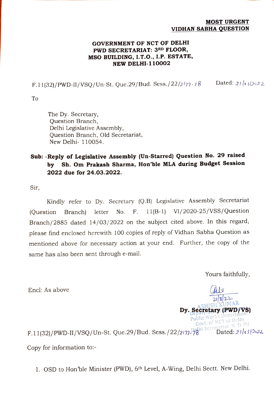## MOST URGENT VIDHAN SABHA QUESTION

## GOVERNMENT OF NCT OF DELHI PWD SECRETARIAT: 3RD FLOOR, MSO BUILDING, I.T.O., I.P. ESTATE, NEW DELHI-110002

F.11(32)/PWD-II/VSQ/Un-St. Que.29/Bud. Sess./22/2177-78 Dated: 21/03/2022

To

The Dy. Secretary, Question Branch, Delhi Legislative Assembly, Question Branch, Old Secretariat, New Delhi- 110054.

## Sub: -Reply of Legislative Assembly (Un-Starred) Question No. 29 raised by Sh. Om Prakash Sharma, Hon'ble MLA during Budget Session 2022 due for 24.03.2022.

Sir,

Kindly refer to Dy. Secretary (Q.B) Legislative Assembly Secretariat letter No. F. 11(B-1) VI/2020-25/VSs/Question Branch/2885 dated 14/03/2022 on the subject cited above. In this regard, (Question Branch) please find enclosed herewith 100 copies of reply of Vidhan Sabha Question as mentioned above for necessary action at your end. Further, the copy of the same has also been sent through e-mail.

Yours faithfully,

 $2/3/2^2$ Dy. Secretary (PWD/VS)

Encl: As above

Govt. of NCT of Delhi Public Works Depa Govt. Of New York.<br>F.11(32)/PWD-II/VSQ/Un-St. Que.29/Bud. Sess./22/2177-78 hi Secretariat N. Delhi (1922) Copy for information to:-

1. OSD to Hon'ble Minister (PWD), 6th Level, A-Wing, Delhi Sectt. New Delhi.